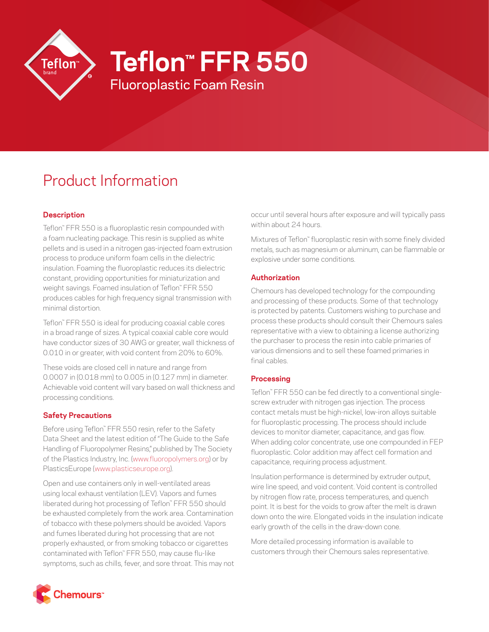

# **Teflon™ FFR 550**

Fluoroplastic Foam Resin

# Product Information

# **Description**

Teflon™ FFR 550 is a fluoroplastic resin compounded with a foam nucleating package. This resin is supplied as white pellets and is used in a nitrogen gas-injected foam extrusion process to produce uniform foam cells in the dielectric insulation. Foaming the fluoroplastic reduces its dielectric constant, providing opportunities for miniaturization and weight savings. Foamed insulation of Teflon™ FFR 550 produces cables for high frequency signal transmission with minimal distortion.

Teflon™ FFR 550 is ideal for producing coaxial cable cores in a broad range of sizes. A typical coaxial cable core would have conductor sizes of 30 AWG or greater, wall thickness of 0.010 in or greater, with void content from 20% to 60%.

These voids are closed cell in nature and range from 0.0007 in (0.018 mm) to 0.005 in (0.127 mm) in diameter. Achievable void content will vary based on wall thickness and processing conditions.

# **Safety Precautions**

Before using Teflon™ FFR 550 resin, refer to the Safety Data Sheet and the latest edition of "The Guide to the Safe Handling of Fluoropolymer Resins," published by The Society of the Plastics Industry, Inc. [\(www.fluoropolymers.org\)](http://www.fluoropolymers.org) or by PlasticsEurope ([www.plasticseurope.org](http://www.plasticseurope.org)).

Open and use containers only in well-ventilated areas using local exhaust ventilation (LEV). Vapors and fumes liberated during hot processing of Teflon™ FFR 550 should be exhausted completely from the work area. Contamination of tobacco with these polymers should be avoided. Vapors and fumes liberated during hot processing that are not properly exhausted, or from smoking tobacco or cigarettes contaminated with Teflon™ FFR 550, may cause flu-like symptoms, such as chills, fever, and sore throat. This may not occur until several hours after exposure and will typically pass within about 24 hours.

Mixtures of Teflon™ fluoroplastic resin with some finely divided metals, such as magnesium or aluminum, can be flammable or explosive under some conditions.

# **Authorization**

Chemours has developed technology for the compounding and processing of these products. Some of that technology is protected by patents. Customers wishing to purchase and process these products should consult their Chemours sales representative with a view to obtaining a license authorizing the purchaser to process the resin into cable primaries of various dimensions and to sell these foamed primaries in final cables.

# **Processing**

Teflon™ FFR 550 can be fed directly to a conventional singlescrew extruder with nitrogen gas injection. The process contact metals must be high-nickel, low-iron alloys suitable for fluoroplastic processing. The process should include devices to monitor diameter, capacitance, and gas flow. When adding color concentrate, use one compounded in FEP fluoroplastic. Color addition may affect cell formation and capacitance, requiring process adjustment.

Insulation performance is determined by extruder output, wire line speed, and void content. Void content is controlled by nitrogen flow rate, process temperatures, and quench point. It is best for the voids to grow after the melt is drawn down onto the wire. Elongated voids in the insulation indicate early growth of the cells in the draw-down cone.

More detailed processing information is available to customers through their Chemours sales representative.